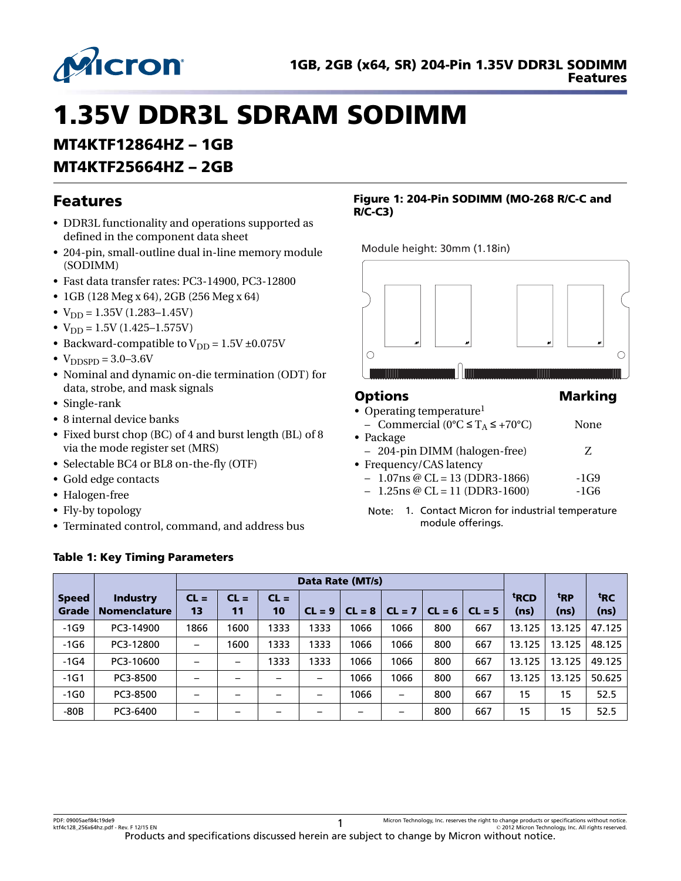

# 1.35V DDR3L SDRAM SODIMM

# MT4KTF12864HZ – 1GB

# MT4KTF25664HZ – 2GB

# Features

- DDR3L functionality and operations supported as defined in the component data sheet
- 204-pin, small-outline dual in-line memory module (SODIMM)
- Fast data transfer rates: PC3-14900, PC3-12800
- 1GB (128 Meg x 64), 2GB (256 Meg x 64)
- $V_{\text{DD}} = 1.35V (1.283 1.45V)$
- $V_{DD} = 1.5V (1.425 1.575V)$
- Backward-compatible to  $V_{DD} = 1.5V \pm 0.075V$
- $V_{\text{DDSPD}} = 3.0 3.6 V$
- Nominal and dynamic on-die termination (ODT) for data, strobe, and mask signals
- Single-rank
- 8 internal device banks
- Fixed burst chop (BC) of 4 and burst length (BL) of 8 via the mode register set (MRS)
- Selectable BC4 or BL8 on-the-fly (OTF)
- Gold edge contacts
- Halogen-free
- Fly-by topology
- Terminated control, command, and address bus

### Table 1: Key Timing Parameters

### Figure 1: 204-Pin SODIMM (MO-268 R/C-C and R/C-C3)

Module height: 30mm (1.18in)



### Options Marking

### • Operating temperature<sup>1</sup>

- Commercial (0°C ≤ T<sub>A</sub> ≤ +70°C) None
- Package
	- 204-pin DIMM (halogen-free) Z
- Frequency/CAS latency
	- $-1.07$ ns @ CL = 13 (DDR3-1866)  $-1G9$
	- $-1.25$ ns @ CL = 11 (DDR3-1600)  $-1G6$
	- Note: 1. Contact Micron for industrial temperature module offerings.

|                       |                                 |                          | Data Rate (MT/s) |              |          |          |          |          |          |                          |                 |                 |
|-----------------------|---------------------------------|--------------------------|------------------|--------------|----------|----------|----------|----------|----------|--------------------------|-----------------|-----------------|
| <b>Speed</b><br>Grade | Industry<br><b>Nomenclature</b> | $CL =$<br>13             | $CL =$<br>11     | $CL =$<br>10 | $CL = 9$ | $CL = 8$ | $CL = 7$ | $CL = 6$ | $CL = 5$ | <sup>t</sup> RCD<br>(ns) | <sup>t</sup> RP | <sup>t</sup> RC |
|                       |                                 |                          |                  |              |          |          |          |          |          |                          | (ns)            | (ns)            |
| $-1G9$                | PC3-14900                       | 1866                     | 1600             | 1333         | 1333     | 1066     | 1066     | 800      | 667      | 13.125                   | 13.125          | 47.125          |
| $-1G6$                | PC3-12800                       | $\overline{\phantom{m}}$ | 1600             | 1333         | 1333     | 1066     | 1066     | 800      | 667      | 13.125                   | 13.125          | 48.125          |
| $-1G4$                | PC3-10600                       |                          |                  | 1333         | 1333     | 1066     | 1066     | 800      | 667      | 13.125                   | 13.125          | 49.125          |
| $-1G1$                | PC3-8500                        |                          |                  | -            | —        | 1066     | 1066     | 800      | 667      | 13.125                   | 13.125          | 50.625          |
| $-1G0$                | PC3-8500                        |                          |                  |              | -        | 1066     | —        | 800      | 667      | 15                       | 15              | 52.5            |
| $-80B$                | PC3-6400                        |                          |                  |              | -        |          |          | 800      | 667      | 15                       | 15              | 52.5            |

PDF: 09005aef84c19de9 ktf4c128\_256x64hz.pdf - Rev. F 12/15 EN 1

Micron Technology, Inc. reserves the right to change products or specifications without notice. © 2012 Micron Technology, Inc. All rights reserved.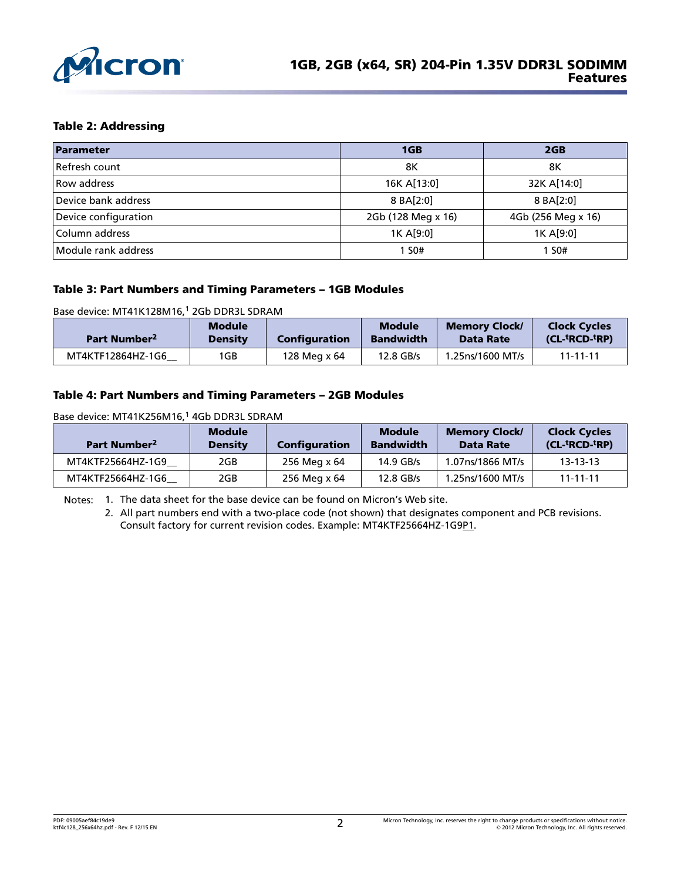

### Table 2: Addressing

| Parameter            | 1GB                | 2GB                |  |
|----------------------|--------------------|--------------------|--|
| Refresh count        | 8K                 | 8Κ                 |  |
| Row address          | 16K A[13:0]        | 32K A[14:0]        |  |
| Device bank address  | 8 BA[2:0]          | 8 BA[2:0]          |  |
| Device configuration | 2Gb (128 Meg x 16) | 4Gb (256 Meg x 16) |  |
| Column address       | 1K A[9:0]          | 1K A[9:0]          |  |
| Module rank address  | 1 S0#              | 1 S0#              |  |

### Table 3: Part Numbers and Timing Parameters – 1GB Modules

Base device: MT41K128M16,<sup>1</sup> 2Gb DDR3L SDRAM

| Part Number <sup>2</sup> | <b>Module</b><br><b>Density</b> | Configuration | <b>Module</b><br><b>Bandwidth</b> | <b>Memory Clock/</b><br><b>Data Rate</b> | <b>Clock Cycles</b><br>$(CL-$ <sup>t</sup> RCD- <sup>t</sup> RP) |
|--------------------------|---------------------------------|---------------|-----------------------------------|------------------------------------------|------------------------------------------------------------------|
| MT4KTF12864HZ-1G6        | 1GB                             | 128 Meg x 64  | 12.8 GB/s                         | 1.25ns/1600 MT/s                         | $11 - 11 - 11$                                                   |

#### Table 4: Part Numbers and Timing Parameters – 2GB Modules

Base device: MT41K256M16,<sup>1</sup> 4Gb DDR3L SDRAM

| Part Number <sup>2</sup> | <b>Module</b><br><b>Density</b> | Configuration | <b>Module</b><br><b>Bandwidth</b> | <b>Memory Clock/</b><br>Data Rate | <b>Clock Cycles</b><br>(CL- <sup>t</sup> RCD- <sup>t</sup> RP) |
|--------------------------|---------------------------------|---------------|-----------------------------------|-----------------------------------|----------------------------------------------------------------|
| MT4KTF25664HZ-1G9        | 2GB                             | 256 Meg x 64  | $14.9$ GB/s                       | 1.07ns/1866 MT/s                  | $13 - 13 - 13$                                                 |
| MT4KTF25664HZ-1G6        | 2GB                             | 256 Meg x 64  | 12.8 GB/s                         | 1.25ns/1600 MT/s                  | $11 - 11 - 11$                                                 |

Notes: 1. The data sheet for the base device can be found on Micron's Web site.

2. All part numbers end with a two-place code (not shown) that designates component and PCB revisions. Consult factory for current revision codes. Example: MT4KTF25664HZ-1G9P1.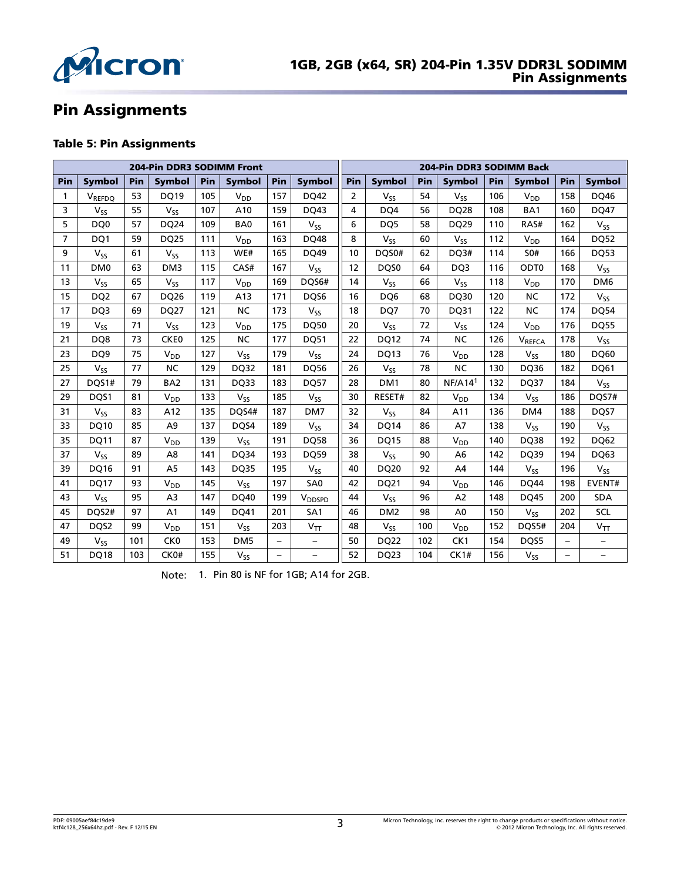

# Pin Assignments

### Table 5: Pin Assignments

|     | <b>204-Pin DDR3 SODIMM Front</b> |     |                            |     |                 |                   |                          | 204-Pin DDR3 SODIMM Back |                       |     |                       |     |                  |     |                            |
|-----|----------------------------------|-----|----------------------------|-----|-----------------|-------------------|--------------------------|--------------------------|-----------------------|-----|-----------------------|-----|------------------|-----|----------------------------|
| Pin | <b>Symbol</b>                    | Pin | <b>Symbol</b>              | Pin | <b>Symbol</b>   | Pin               | <b>Symbol</b>            | Pin                      | <b>Symbol</b>         | Pin | <b>Symbol</b>         | Pin | <b>Symbol</b>    | Pin | <b>Symbol</b>              |
| 1   | V <sub>REFDQ</sub>               | 53  | <b>DQ19</b>                | 105 | $V_{DD}$        | 157               | DQ42                     | $\overline{2}$           | $V_{SS}$              | 54  | $V_{SS}$              | 106 | $V_{DD}$         | 158 | DQ46                       |
| 3   | Vss                              | 55  | <b>V<sub>SS</sub></b>      | 107 | A10             | 159               | DQ43                     | 4                        | DQ4                   | 56  | DQ28                  | 108 | BA1              | 160 | DQ47                       |
| 5   | DQ0                              | 57  | DQ24                       | 109 | BA0             | 161               | $V_{SS}$                 | 6                        | DQ5                   | 58  | DQ29                  | 110 | RAS#             | 162 | $V_{SS}$                   |
| 7   | DQ1                              | 59  | <b>DQ25</b>                | 111 | $V_{DD}$        | 163               | DQ48                     | 8                        | <b>V<sub>ss</sub></b> | 60  | <b>V<sub>SS</sub></b> | 112 | $V_{DD}$         | 164 | <b>DQ52</b>                |
| 9   | $V_{SS}$                         | 61  | $V_{SS}$                   | 113 | WE#             | 165               | DQ49                     | 10                       | DQS0#                 | 62  | DQ3#                  | 114 | <b>SO#</b>       | 166 | <b>DQ53</b>                |
| 11  | DM <sub>0</sub>                  | 63  | DM <sub>3</sub>            | 115 | CAS#            | 167               | $V_{SS}$                 | 12                       | DQS0                  | 64  | DQ3                   | 116 | ODT <sub>0</sub> | 168 | <b>V<sub>SS</sub></b>      |
| 13  | $V_{SS}$                         | 65  | <b>V<sub>SS</sub></b>      | 117 | $V_{DD}$        | 169               | DQS6#                    | 14                       | <b>V<sub>SS</sub></b> | 66  | <b>V<sub>SS</sub></b> | 118 | $V_{DD}$         | 170 | DM <sub>6</sub>            |
| 15  | DQ <sub>2</sub>                  | 67  | DQ26                       | 119 | A13             | 171               | DQS6                     | 16                       | DQ6                   | 68  | DQ30                  | 120 | <b>NC</b>        | 172 | <b>V<sub>SS</sub></b>      |
| 17  | DQ3                              | 69  | DQ27                       | 121 | <b>NC</b>       | 173               | V <sub>SS</sub>          | 18                       | DQ7                   | 70  | DQ31                  | 122 | <b>NC</b>        | 174 | DQ54                       |
| 19  | $V_{SS}$                         | 71  | $V_{SS}$                   | 123 | $V_{DD}$        | 175               | DQ50                     | 20                       | $V_{SS}$              | 72  | $V_{SS}$              | 124 | V <sub>DD</sub>  | 176 | <b>DQ55</b>                |
| 21  | DQ8                              | 73  | CKE <sub>0</sub>           | 125 | <b>NC</b>       | 177               | <b>DQ51</b>              | 22                       | <b>DQ12</b>           | 74  | <b>NC</b>             | 126 | VREFCA           | 178 | V <sub>SS</sub>            |
| 23  | DQ <sub>9</sub>                  | 75  | V <sub>DD</sub>            | 127 | $V_{SS}$        | 179               | $V_{SS}$                 | 24                       | <b>DQ13</b>           | 76  | $V_{DD}$              | 128 | $V_{SS}$         | 180 | DQ60                       |
| 25  | $V_{SS}$                         | 77  | <b>NC</b>                  | 129 | DQ32            | 181               | <b>DQ56</b>              | 26                       | <b>V<sub>SS</sub></b> | 78  | <b>NC</b>             | 130 | DQ36             | 182 | DQ61                       |
| 27  | DQS1#                            | 79  | BA <sub>2</sub>            | 131 | DQ33            | 183               | <b>DQ57</b>              | 28                       | DM <sub>1</sub>       | 80  | NF/A14 <sup>1</sup>   | 132 | DQ37             | 184 | $V_{SS}$                   |
| 29  | DQS1                             | 81  | $V_{DD}$                   | 133 | $V_{SS}$        | 185               | V <sub>SS</sub>          | 30                       | RESET#                | 82  | $V_{DD}$              | 134 | $V_{SS}$         | 186 | DQS7#                      |
| 31  | $V_{SS}$                         | 83  | A12                        | 135 | DQS4#           | 187               | DM7                      | 32                       | $V_{SS}$              | 84  | A11                   | 136 | DM4              | 188 | DQS7                       |
| 33  | DQ10                             | 85  | A <sub>9</sub>             | 137 | DQS4            | 189               | $V_{SS}$                 | 34                       | <b>DQ14</b>           | 86  | A7                    | 138 | $V_{SS}$         | 190 | <b>V<sub>SS</sub></b>      |
| 35  | <b>DQ11</b>                      | 87  | V <sub>DD</sub>            | 139 | $V_{SS}$        | 191               | <b>DQ58</b>              | 36                       | <b>DQ15</b>           | 88  | $V_{DD}$              | 140 | DQ38             | 192 | DQ62                       |
| 37  | $V_{ss}$                         | 89  | A <sub>8</sub>             | 141 | DQ34            | 193               | DQ59                     | 38                       | $V_{ss}$              | 90  | A <sub>6</sub>        | 142 | DQ39             | 194 | DQ63                       |
| 39  | <b>DQ16</b>                      | 91  | A <sub>5</sub>             | 143 | <b>DQ35</b>     | 195               | $V_{SS}$                 | 40                       | DQ20                  | 92  | A <sub>4</sub>        | 144 | $V_{SS}$         | 196 | <b>V<sub>SS</sub></b>      |
| 41  | <b>DQ17</b>                      | 93  | $\mathsf{V}_{\mathsf{DD}}$ | 145 | $V_{SS}$        | 197               | SA <sub>0</sub>          | 42                       | DQ21                  | 94  | $V_{DD}$              | 146 | <b>DQ44</b>      | 198 | <b>EVENT#</b>              |
| 43  | $V_{SS}$                         | 95  | A <sub>3</sub>             | 147 | DQ40            | 199               | V <sub>DDSPD</sub>       | 44                       | $V_{SS}$              | 96  | A <sub>2</sub>        | 148 | DQ45             | 200 | <b>SDA</b>                 |
| 45  | DQS2#                            | 97  | A1                         | 149 | DQ41            | 201               | SA <sub>1</sub>          | 46                       | DM <sub>2</sub>       | 98  | A <sub>0</sub>        | 150 | $V_{SS}$         | 202 | <b>SCL</b>                 |
| 47  | DQS2                             | 99  | V <sub>DD</sub>            | 151 | $V_{SS}$        | 203               | $V_{TT}$                 | 48                       | <b>V<sub>ss</sub></b> | 100 | $V_{DD}$              | 152 | DQS5#            | 204 | $\mathsf{V}_{\mathsf{TT}}$ |
| 49  | $V_{SS}$                         | 101 | CK <sub>0</sub>            | 153 | DM <sub>5</sub> | $\qquad \qquad -$ | $\overline{\phantom{0}}$ | 50                       | DQ22                  | 102 | CK1                   | 154 | DQS5             | -   | $\qquad \qquad -$          |
| 51  | <b>DQ18</b>                      | 103 | CK0#                       | 155 | $V_{SS}$        | $\qquad \qquad -$ | -                        | 52                       | DQ23                  | 104 | CK1#                  | 156 | $V_{SS}$         | -   | -                          |

Note: 1. Pin 80 is NF for 1GB; A14 for 2GB.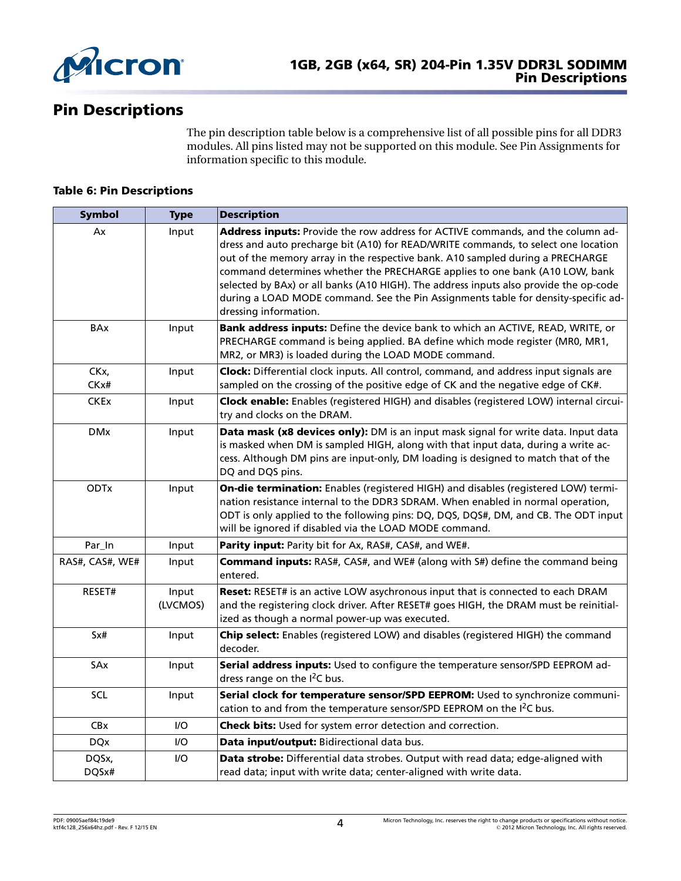

# Pin Descriptions

The pin description table below is a comprehensive list of all possible pins for all DDR3 modules. All pins listed may not be supported on this module. See Pin Assignments for information specific to this module.

### Table 6: Pin Descriptions

| <b>Symbol</b>   | <b>Type</b>       | <b>Description</b>                                                                                                                                                                                                                                                                                                                                                                                                                                                                                                                             |
|-----------------|-------------------|------------------------------------------------------------------------------------------------------------------------------------------------------------------------------------------------------------------------------------------------------------------------------------------------------------------------------------------------------------------------------------------------------------------------------------------------------------------------------------------------------------------------------------------------|
| Ax              | Input             | Address inputs: Provide the row address for ACTIVE commands, and the column ad-<br>dress and auto precharge bit (A10) for READ/WRITE commands, to select one location<br>out of the memory array in the respective bank. A10 sampled during a PRECHARGE<br>command determines whether the PRECHARGE applies to one bank (A10 LOW, bank<br>selected by BAx) or all banks (A10 HIGH). The address inputs also provide the op-code<br>during a LOAD MODE command. See the Pin Assignments table for density-specific ad-<br>dressing information. |
| <b>BAx</b>      | Input             | Bank address inputs: Define the device bank to which an ACTIVE, READ, WRITE, or<br>PRECHARGE command is being applied. BA define which mode register (MR0, MR1,<br>MR2, or MR3) is loaded during the LOAD MODE command.                                                                                                                                                                                                                                                                                                                        |
| CKx,<br>CKx#    | Input             | Clock: Differential clock inputs. All control, command, and address input signals are<br>sampled on the crossing of the positive edge of CK and the negative edge of CK#.                                                                                                                                                                                                                                                                                                                                                                      |
| <b>CKEx</b>     | Input             | Clock enable: Enables (registered HIGH) and disables (registered LOW) internal circui-<br>try and clocks on the DRAM.                                                                                                                                                                                                                                                                                                                                                                                                                          |
| <b>DMx</b>      | Input             | Data mask (x8 devices only): DM is an input mask signal for write data. Input data<br>is masked when DM is sampled HIGH, along with that input data, during a write ac-<br>cess. Although DM pins are input-only, DM loading is designed to match that of the<br>DQ and DQS pins.                                                                                                                                                                                                                                                              |
| <b>ODTx</b>     | Input             | On-die termination: Enables (registered HIGH) and disables (registered LOW) termi-<br>nation resistance internal to the DDR3 SDRAM. When enabled in normal operation,<br>ODT is only applied to the following pins: DQ, DQS, DQS#, DM, and CB. The ODT input<br>will be ignored if disabled via the LOAD MODE command.                                                                                                                                                                                                                         |
| Par_In          | Input             | Parity input: Parity bit for Ax, RAS#, CAS#, and WE#.                                                                                                                                                                                                                                                                                                                                                                                                                                                                                          |
| RAS#, CAS#, WE# | Input             | <b>Command inputs:</b> RAS#, CAS#, and WE# (along with S#) define the command being<br>entered.                                                                                                                                                                                                                                                                                                                                                                                                                                                |
| RESET#          | Input<br>(LVCMOS) | Reset: RESET# is an active LOW asychronous input that is connected to each DRAM<br>and the registering clock driver. After RESET# goes HIGH, the DRAM must be reinitial-<br>ized as though a normal power-up was executed.                                                                                                                                                                                                                                                                                                                     |
| Sx#             | Input             | Chip select: Enables (registered LOW) and disables (registered HIGH) the command<br>decoder.                                                                                                                                                                                                                                                                                                                                                                                                                                                   |
| SAx             | Input             | Serial address inputs: Used to configure the temperature sensor/SPD EEPROM ad-<br>dress range on the $I^2C$ bus.                                                                                                                                                                                                                                                                                                                                                                                                                               |
| SCL             | Input             | Serial clock for temperature sensor/SPD EEPROM: Used to synchronize communi-<br>cation to and from the temperature sensor/SPD EEPROM on the I <sup>2</sup> C bus.                                                                                                                                                                                                                                                                                                                                                                              |
| CBx             | $UO$              | Check bits: Used for system error detection and correction.                                                                                                                                                                                                                                                                                                                                                                                                                                                                                    |
| <b>DQx</b>      | I/O               | Data input/output: Bidirectional data bus.                                                                                                                                                                                                                                                                                                                                                                                                                                                                                                     |
| DQSx,<br>DQSx#  | 1/O               | Data strobe: Differential data strobes. Output with read data; edge-aligned with<br>read data; input with write data; center-aligned with write data.                                                                                                                                                                                                                                                                                                                                                                                          |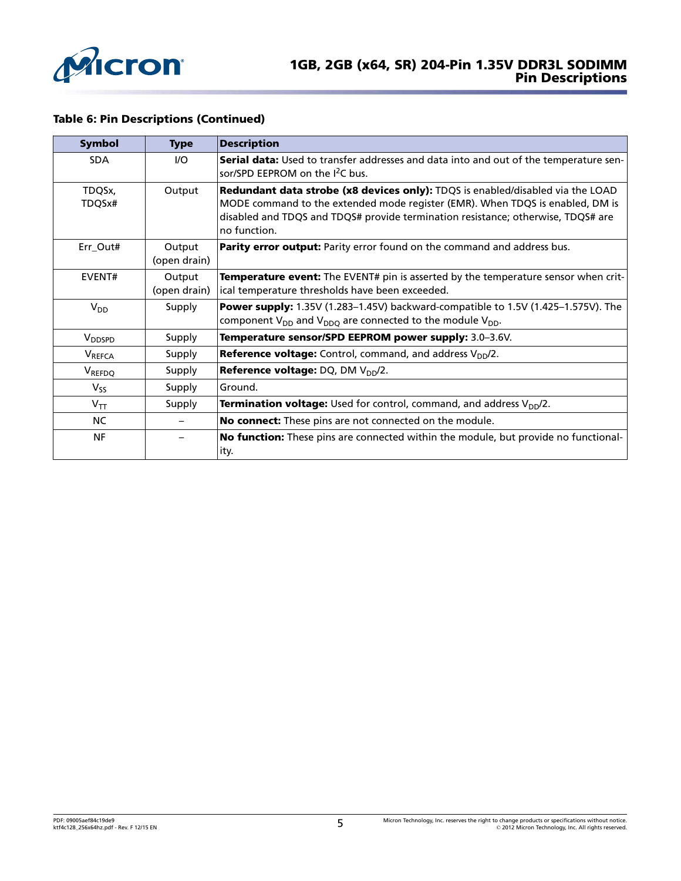

### Table 6: Pin Descriptions (Continued)

| Symbol             | <b>Type</b>            | <b>Description</b>                                                                                                                                                                                                                                                  |
|--------------------|------------------------|---------------------------------------------------------------------------------------------------------------------------------------------------------------------------------------------------------------------------------------------------------------------|
| <b>SDA</b>         | $UO$                   | <b>Serial data:</b> Used to transfer addresses and data into and out of the temperature sen-<br>sor/SPD EEPROM on the I <sup>2</sup> C bus.                                                                                                                         |
| TDQSx,<br>TDQSx#   | Output                 | Redundant data strobe (x8 devices only): TDQS is enabled/disabled via the LOAD<br>MODE command to the extended mode register (EMR). When TDQS is enabled, DM is<br>disabled and TDQS and TDQS# provide termination resistance; otherwise, TDQS# are<br>no function. |
| Err_Out#           | Output<br>(open drain) | <b>Parity error output:</b> Parity error found on the command and address bus.                                                                                                                                                                                      |
| EVENT#             | Output<br>(open drain) | Temperature event: The EVENT# pin is asserted by the temperature sensor when crit-<br>ical temperature thresholds have been exceeded.                                                                                                                               |
| $V_{DD}$           | Supply                 | Power supply: 1.35V (1.283-1.45V) backward-compatible to 1.5V (1.425-1.575V). The<br>component $V_{DD}$ and $V_{DDO}$ are connected to the module $V_{DD}$ .                                                                                                        |
| V <sub>DDSPD</sub> | Supply                 | Temperature sensor/SPD EEPROM power supply: 3.0-3.6V.                                                                                                                                                                                                               |
| <b>V</b> REFCA     | Supply                 | <b>Reference voltage:</b> Control, command, and address $V_{DD}/2$ .                                                                                                                                                                                                |
| V <sub>REFDQ</sub> | Supply                 | <b>Reference voltage:</b> DQ, DM $V_{DD}/2$ .                                                                                                                                                                                                                       |
| $V_{SS}$           | Supply                 | Ground.                                                                                                                                                                                                                                                             |
| $V_{TT}$           | Supply                 | <b>Termination voltage:</b> Used for control, command, and address V <sub>DD</sub> /2.                                                                                                                                                                              |
| NC.                |                        | No connect: These pins are not connected on the module.                                                                                                                                                                                                             |
| <b>NF</b>          |                        | No function: These pins are connected within the module, but provide no functional-<br>ity.                                                                                                                                                                         |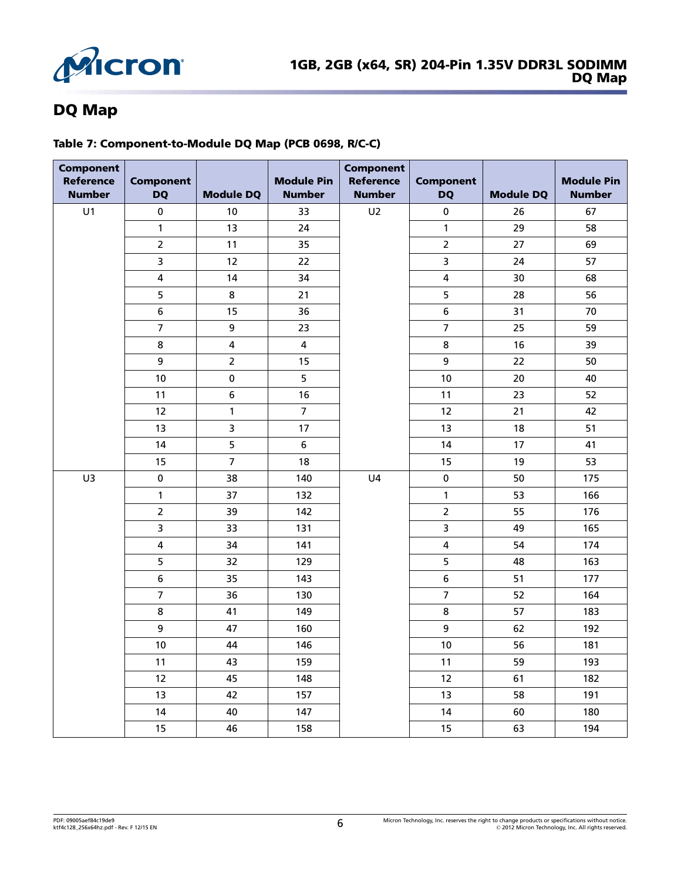

# DQ Map

### Table 7: Component-to-Module DQ Map (PCB 0698, R/C-C)

| <b>Component</b><br><b>Reference</b><br><b>Number</b> | <b>Component</b><br><b>DQ</b> | <b>Module DQ</b>        | <b>Module Pin</b><br><b>Number</b> | <b>Component</b><br><b>Reference</b><br><b>Number</b> | <b>Component</b><br><b>DQ</b> | <b>Module DQ</b> | <b>Module Pin</b><br><b>Number</b> |
|-------------------------------------------------------|-------------------------------|-------------------------|------------------------------------|-------------------------------------------------------|-------------------------------|------------------|------------------------------------|
| U1                                                    | $\pmb{0}$                     | 10                      | 33                                 | U <sub>2</sub>                                        | $\pmb{0}$                     | 26               | 67                                 |
|                                                       | $\mathbf{1}$                  | 13                      | 24                                 |                                                       | $\mathbf{1}$                  | 29               | 58                                 |
|                                                       | $\overline{2}$                | 11                      | 35                                 |                                                       | $\overline{2}$                | 27               | 69                                 |
|                                                       | 3                             | 12                      | 22                                 |                                                       | 3                             | 24               | 57                                 |
|                                                       | $\overline{\mathbf{4}}$       | 14                      | 34                                 |                                                       | $\overline{4}$                | 30               | 68                                 |
|                                                       | 5                             | 8                       | 21                                 |                                                       | 5                             | 28               | 56                                 |
|                                                       | $\boldsymbol{6}$              | 15                      | 36                                 |                                                       | 6                             | 31               | 70                                 |
|                                                       | $\overline{7}$                | 9                       | 23                                 |                                                       | $\overline{7}$                | 25               | 59                                 |
|                                                       | $\bf 8$                       | $\overline{\mathbf{4}}$ | 4                                  |                                                       | 8                             | 16               | 39                                 |
|                                                       | 9                             | $\overline{2}$          | 15                                 |                                                       | 9                             | 22               | 50                                 |
|                                                       | 10                            | 0                       | 5                                  |                                                       | 10                            | 20               | 40                                 |
|                                                       | 11                            | $\bf 6$                 | 16                                 |                                                       | 11                            | 23               | 52                                 |
|                                                       | 12                            | $\mathbf{1}$            | $\overline{7}$                     |                                                       | 12                            | 21               | 42                                 |
|                                                       | 13                            | 3                       | 17                                 |                                                       | 13                            | 18               | 51                                 |
|                                                       | 14                            | 5                       | 6                                  |                                                       | 14                            | 17               | 41                                 |
|                                                       | 15                            | $\overline{7}$          | 18                                 |                                                       | 15                            | 19               | 53                                 |
| U3                                                    | $\pmb{0}$                     | 38                      | 140                                | U4                                                    | $\pmb{0}$                     | 50               | 175                                |
|                                                       | $\mathbf{1}$                  | 37                      | 132                                |                                                       | $\mathbf{1}$                  | 53               | 166                                |
|                                                       | $\overline{2}$                | 39                      | 142                                |                                                       | $\overline{2}$                | 55               | 176                                |
|                                                       | $\overline{\mathbf{3}}$       | 33                      | 131                                |                                                       | $\overline{\mathbf{3}}$       | 49               | 165                                |
|                                                       | $\overline{\mathbf{4}}$       | 34                      | 141                                |                                                       | $\overline{\mathbf{4}}$       | 54               | 174                                |
|                                                       | 5                             | 32                      | 129                                |                                                       | 5                             | 48               | 163                                |
|                                                       | 6                             | 35                      | 143                                |                                                       | $\boldsymbol{6}$              | 51               | 177                                |
|                                                       | $\overline{7}$                | 36                      | 130                                |                                                       | $\overline{7}$                | 52               | 164                                |
|                                                       | 8                             | 41                      | 149                                |                                                       | 8                             | 57               | 183                                |
|                                                       | 9                             | 47                      | 160                                |                                                       | 9                             | 62               | 192                                |
|                                                       | 10                            | 44                      | 146                                |                                                       | 10                            | 56               | 181                                |
|                                                       | 11                            | 43                      | 159                                |                                                       | 11                            | 59               | 193                                |
|                                                       | 12                            | 45                      | 148                                |                                                       | 12                            | 61               | 182                                |
|                                                       | 13                            | 42                      | 157                                |                                                       | 13                            | 58               | 191                                |
|                                                       | 14                            | 40                      | 147                                |                                                       | 14                            | 60               | 180                                |
|                                                       | 15                            | 46                      | 158                                |                                                       | 15                            | 63               | 194                                |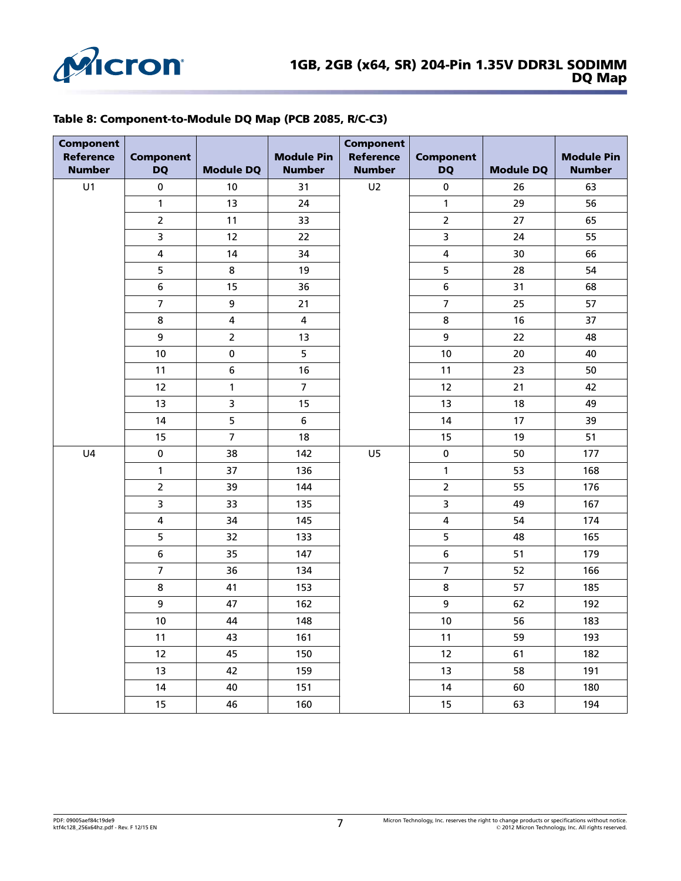

### Table 8: Component-to-Module DQ Map (PCB 2085, R/C-C3)

| <b>Component</b><br><b>Reference</b><br><b>Number</b> | <b>Component</b><br><b>DQ</b> | <b>Module DQ</b> | <b>Module Pin</b><br><b>Number</b> | <b>Component</b><br><b>Reference</b><br><b>Number</b> | <b>Component</b><br><b>DQ</b> | <b>Module DQ</b> | <b>Module Pin</b><br><b>Number</b> |
|-------------------------------------------------------|-------------------------------|------------------|------------------------------------|-------------------------------------------------------|-------------------------------|------------------|------------------------------------|
| U1                                                    | $\pmb{0}$                     | 10               | 31                                 | U <sub>2</sub>                                        | $\pmb{0}$                     | 26               | 63                                 |
|                                                       | $\mathbf{1}$                  | 13               | 24                                 |                                                       | $\mathbf{1}$                  | 29               | 56                                 |
|                                                       | $\overline{2}$                | 11               | 33                                 |                                                       | $\overline{2}$                | 27               | 65                                 |
|                                                       | 3                             | 12               | 22                                 |                                                       | 3                             | 24               | 55                                 |
|                                                       | $\overline{\mathbf{4}}$       | 14               | 34                                 |                                                       | $\overline{\mathbf{4}}$       | 30               | 66                                 |
|                                                       | 5                             | 8                | 19                                 |                                                       | 5                             | 28               | 54                                 |
|                                                       | 6                             | 15               | 36                                 |                                                       | 6                             | 31               | 68                                 |
|                                                       | $\overline{7}$                | 9                | 21                                 |                                                       | $\overline{7}$                | 25               | 57                                 |
|                                                       | 8                             | 4                | $\overline{\mathbf{4}}$            |                                                       | 8                             | 16               | 37                                 |
|                                                       | 9                             | $\overline{2}$   | 13                                 |                                                       | 9                             | 22               | 48                                 |
|                                                       | 10                            | $\pmb{0}$        | 5                                  |                                                       | 10                            | 20               | 40                                 |
|                                                       | 11                            | 6                | 16                                 |                                                       | 11                            | 23               | 50                                 |
|                                                       | 12                            | $\mathbf{1}$     | $\overline{7}$                     |                                                       | 12                            | 21               | 42                                 |
|                                                       | 13                            | 3                | 15                                 |                                                       | 13                            | 18               | 49                                 |
|                                                       | 14                            | 5                | 6                                  |                                                       | 14                            | 17               | 39                                 |
|                                                       | 15                            | $\overline{7}$   | 18                                 |                                                       | 15                            | 19               | 51                                 |
| U <sub>4</sub>                                        | $\pmb{0}$                     | 38               | 142                                | U <sub>5</sub>                                        | $\pmb{0}$                     | 50               | 177                                |
|                                                       | $\mathbf{1}$                  | 37               | 136                                |                                                       | $\mathbf{1}$                  | 53               | 168                                |
|                                                       | $\overline{2}$                | 39               | 144                                |                                                       | $\overline{2}$                | 55               | 176                                |
|                                                       | $\overline{\mathbf{3}}$       | 33               | 135                                |                                                       | $\overline{\mathbf{3}}$       | 49               | 167                                |
|                                                       | $\overline{\mathbf{4}}$       | 34               | 145                                |                                                       | $\overline{\mathbf{4}}$       | 54               | 174                                |
|                                                       | 5                             | 32               | 133                                |                                                       | 5                             | 48               | 165                                |
|                                                       | 6                             | 35               | 147                                |                                                       | 6                             | 51               | 179                                |
|                                                       | $\overline{7}$                | 36               | 134                                |                                                       | $\overline{7}$                | 52               | 166                                |
|                                                       | 8                             | 41               | 153                                |                                                       | 8                             | 57               | 185                                |
|                                                       | 9                             | 47               | 162                                |                                                       | 9                             | 62               | 192                                |
|                                                       | 10                            | 44               | 148                                |                                                       | 10                            | 56               | 183                                |
|                                                       | 11                            | 43               | 161                                |                                                       | 11                            | 59               | 193                                |
|                                                       | 12                            | 45               | 150                                |                                                       | 12                            | 61               | 182                                |
|                                                       | 13                            | 42               | 159                                |                                                       | 13                            | 58               | 191                                |
|                                                       | 14                            | 40               | 151                                |                                                       | 14                            | 60               | 180                                |
|                                                       | 15                            | 46               | 160                                |                                                       | 15                            | 63               | 194                                |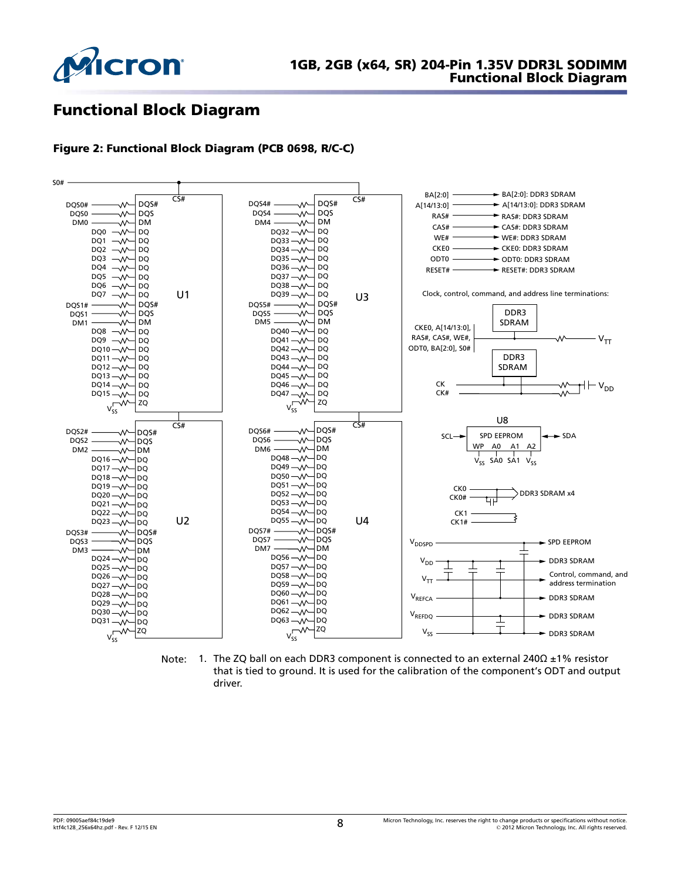

# Functional Block Diagram

### Figure 2: Functional Block Diagram (PCB 0698, R/C-C)



Note: 1. The ZQ ball on each DDR3 component is connected to an external 240Ω ±1% resistor that is tied to ground. It is used for the calibration of the component's ODT and output driver.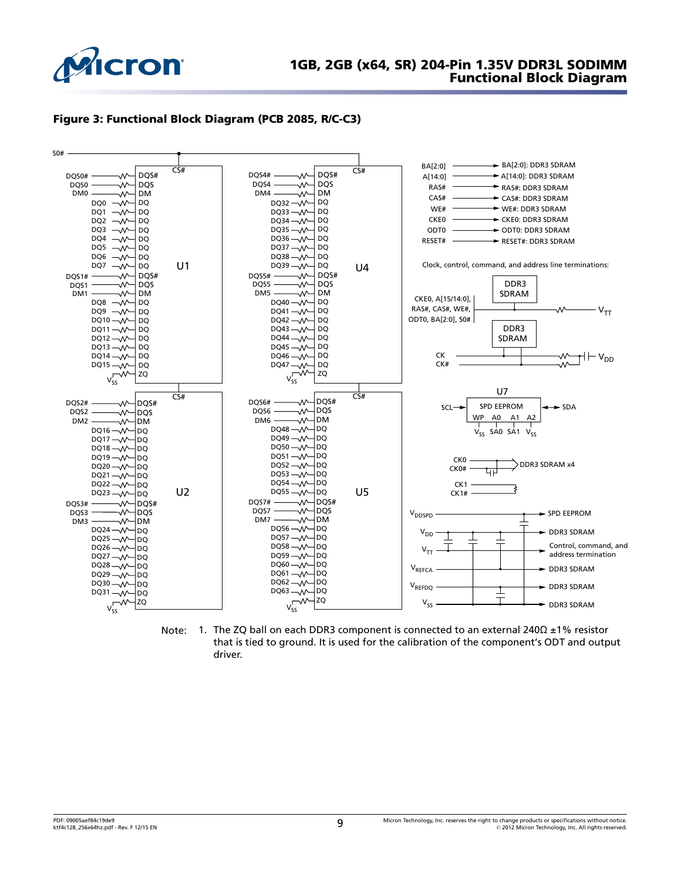

### 1GB, 2GB (x64, SR) 204-Pin 1.35V DDR3L SODIMM Functional Block Diagram





Note: 1. The ZQ ball on each DDR3 component is connected to an external 240Ω ±1% resistor that is tied to ground. It is used for the calibration of the component's ODT and output driver.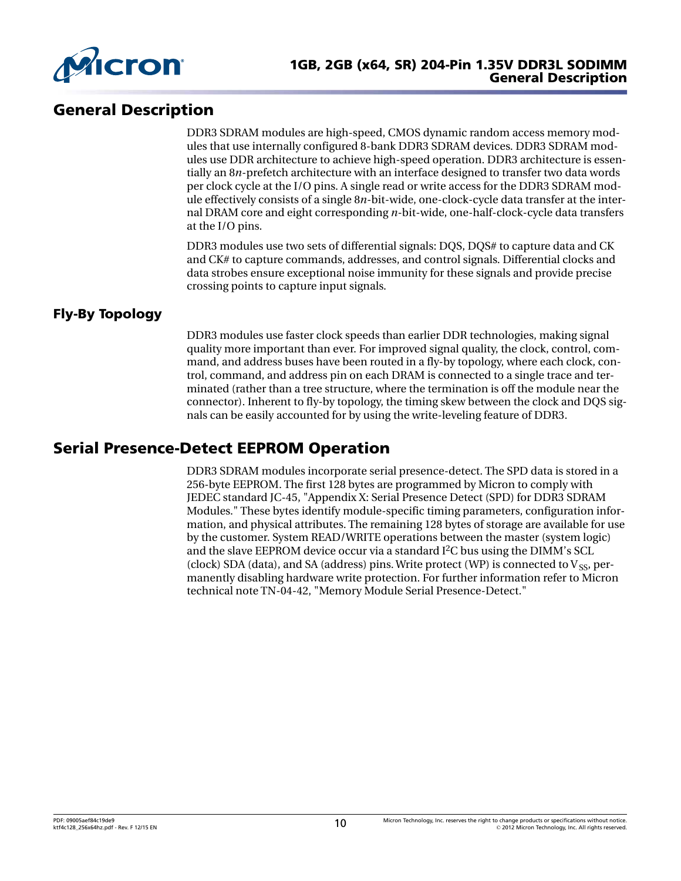

# General Description

DDR3 SDRAM modules are high-speed, CMOS dynamic random access memory modules that use internally configured 8-bank DDR3 SDRAM devices. DDR3 SDRAM modules use DDR architecture to achieve high-speed operation. DDR3 architecture is essentially an 8*n*-prefetch architecture with an interface designed to transfer two data words per clock cycle at the I/O pins. A single read or write access for the DDR3 SDRAM module effectively consists of a single 8*n*-bit-wide, one-clock-cycle data transfer at the internal DRAM core and eight corresponding *n*-bit-wide, one-half-clock-cycle data transfers at the I/O pins.

DDR3 modules use two sets of differential signals: DQS, DQS# to capture data and CK and CK# to capture commands, addresses, and control signals. Differential clocks and data strobes ensure exceptional noise immunity for these signals and provide precise crossing points to capture input signals.

### Fly-By Topology

DDR3 modules use faster clock speeds than earlier DDR technologies, making signal quality more important than ever. For improved signal quality, the clock, control, command, and address buses have been routed in a fly-by topology, where each clock, control, command, and address pin on each DRAM is connected to a single trace and terminated (rather than a tree structure, where the termination is off the module near the connector). Inherent to fly-by topology, the timing skew between the clock and DQS signals can be easily accounted for by using the write-leveling feature of DDR3.

# Serial Presence-Detect EEPROM Operation

DDR3 SDRAM modules incorporate serial presence-detect. The SPD data is stored in a 256-byte EEPROM. The first 128 bytes are programmed by Micron to comply with JEDEC standard JC-45, "Appendix X: Serial Presence Detect (SPD) for DDR3 SDRAM Modules." These bytes identify module-specific timing parameters, configuration information, and physical attributes. The remaining 128 bytes of storage are available for use by the customer. System READ/WRITE operations between the master (system logic) and the slave EEPROM device occur via a standard  $I<sup>2</sup>C$  bus using the DIMM's SCL (clock) SDA (data), and SA (address) pins. Write protect (WP) is connected to  $V_{SS}$ , permanently disabling hardware write protection. For further information refer to Micron technical note TN-04-42, "Memory Module Serial Presence-Detect."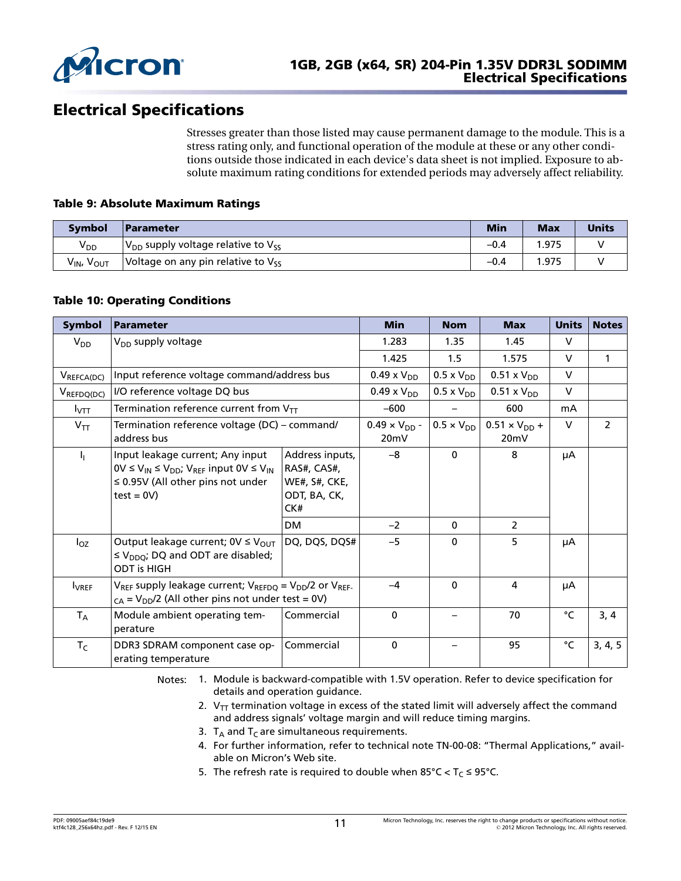

# Electrical Specifications

Stresses greater than those listed may cause permanent damage to the module. This is a stress rating only, and functional operation of the module at these or any other conditions outside those indicated in each device's data sheet is not implied. Exposure to absolute maximum rating conditions for extended periods may adversely affect reliability.

### Table 9: Absolute Maximum Ratings

| <b>Symbol</b>                      | <b>Parameter</b>                             | <b>Min</b> | <b>Max</b> | <b>Units</b> |
|------------------------------------|----------------------------------------------|------------|------------|--------------|
| V <sub>DD</sub>                    | $V_{DD}$ supply voltage relative to $V_{SS}$ | $-0.4$     | '.975      |              |
| $V_{IN}$<br><b>V<sub>OUT</sub></b> | Voltage on any pin relative to $V_{SS}$      | $-0.4$     | 1.975      |              |

### Table 10: Operating Conditions

| <b>Symbol</b>    | Parameter                                                                                                                                                        |                                                                               | <b>Min</b>           | <b>Nom</b>                     | <b>Max</b>           | <b>Units</b>   | <b>Notes</b> |
|------------------|------------------------------------------------------------------------------------------------------------------------------------------------------------------|-------------------------------------------------------------------------------|----------------------|--------------------------------|----------------------|----------------|--------------|
| $V_{DD}$         | V <sub>DD</sub> supply voltage                                                                                                                                   |                                                                               | 1.283                | 1.35                           | 1.45                 | $\vee$         |              |
|                  |                                                                                                                                                                  |                                                                               | 1.425                | 1.5                            | 1.575                | $\vee$         | $\mathbf{1}$ |
| $V_{REFCA(DC)}$  | Input reference voltage command/address bus                                                                                                                      |                                                                               | $0.49 \times V_{DD}$ | $0.5 \times V_{DD}$            | $0.51 \times V_{DD}$ | $\vee$         |              |
| $V_{REFDQ(DC)}$  | I/O reference voltage DQ bus                                                                                                                                     |                                                                               | $0.49 \times V_{DD}$ | $0.5 \times V_{DD}$            | $0.51 \times V_{DD}$ | $\vee$         |              |
| $I_{\text{VTT}}$ | Termination reference current from $V_{TT}$                                                                                                                      |                                                                               | $-600$               |                                | 600                  | mA             |              |
| $V_{TT}$         | Termination reference voltage (DC) - command/<br>address bus                                                                                                     | $0.49 \times V_{DD}$ -<br>20mV                                                | $0.5 \times V_{DD}$  | $0.51 \times V_{DD} +$<br>20mV | $\vee$               | $\overline{2}$ |              |
| 4                | Input leakage current; Any input<br>$0V \le V_{IN} \le V_{DD}$ ; V <sub>REF</sub> input $0V \le V_{IN}$<br>$\leq$ 0.95V (All other pins not under<br>$test = 0V$ | Address inputs,<br>RAS#, CAS#,<br><b>WE#, S#, CKE,</b><br>ODT, BA, CK,<br>CK# | $-8$                 | $\mathbf 0$                    | 8                    | μA             |              |
|                  |                                                                                                                                                                  | <b>DM</b>                                                                     | $-2$                 | $\mathbf{0}$                   | $\overline{2}$       |                |              |
| $I_{OZ}$         | Output leakage current; $0V \leq V_{\text{OUT}}$<br>$\leq$ V <sub>DDO</sub> ; DQ and ODT are disabled;<br><b>ODT is HIGH</b>                                     | DQ, DQS, DQS#                                                                 | $-5$                 | $\mathbf 0$                    | 5                    | μA             |              |
| <b>I</b> VREF    | $V_{REF}$ supply leakage current; $V_{REFDQ} = V_{DD}/2$ or $V_{REF}$ .<br>$_{CA}$ = V <sub>DD</sub> /2 (All other pins not under test = 0V)                     |                                                                               | $-4$                 | $\Omega$                       | 4                    | μA             |              |
| $T_A$            | Module ambient operating tem-<br>perature                                                                                                                        | Commercial                                                                    | $\mathbf 0$          |                                | 70                   | °C             | 3, 4         |
| $T_C$            | DDR3 SDRAM component case op-<br>erating temperature                                                                                                             | Commercial                                                                    | $\mathbf 0$          |                                | 95                   | °C             | 3, 4, 5      |

Notes: 1. Module is backward-compatible with 1.5V operation. Refer to device specification for details and operation guidance.

- 2.  $V_{TT}$  termination voltage in excess of the stated limit will adversely affect the command and address signals' voltage margin and will reduce timing margins.
- 3.  $T_A$  and  $T_C$  are simultaneous requirements.
- 4. For further information, refer to technical note TN-00-08: "Thermal Applications," available on Micron's Web site.
- 5. The refresh rate is required to double when  $85^{\circ}$ C < T<sub>C</sub> ≤ 95°C.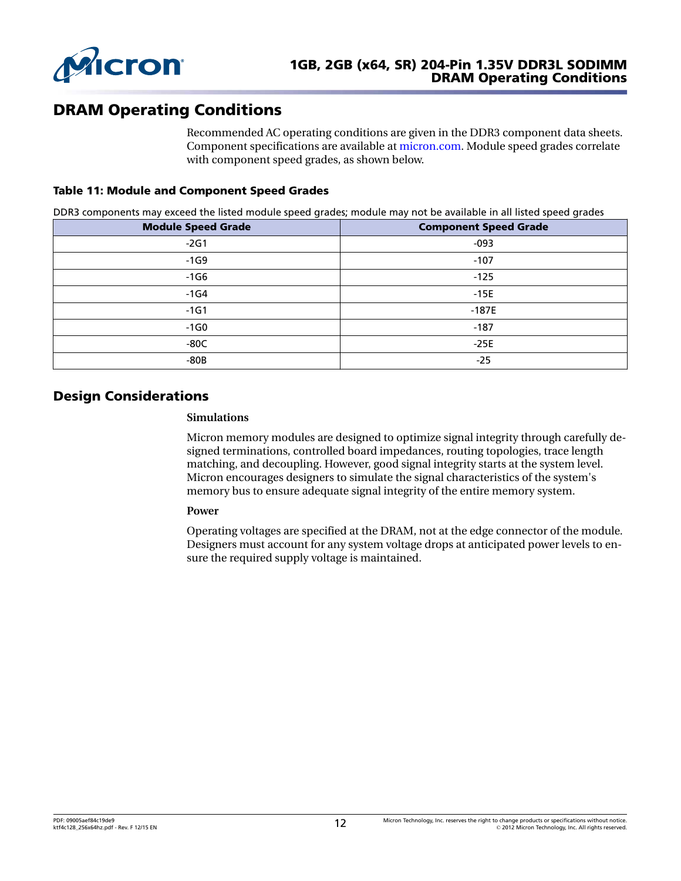

# DRAM Operating Conditions

Recommended AC operating conditions are given in the DDR3 component data sheets. Component specifications are available at [micron.com.](http://www.micron.com) Module speed grades correlate with component speed grades, as shown below.

### Table 11: Module and Component Speed Grades

DDR3 components may exceed the listed module speed grades; module may not be available in all listed speed grades

| <b>Module Speed Grade</b> | <b>Component Speed Grade</b> |
|---------------------------|------------------------------|
| $-2G1$                    | $-093$                       |
| $-1G9$                    | $-107$                       |
| $-1G6$                    | $-125$                       |
| $-1G4$                    | $-15E$                       |
| $-1G1$                    | $-187E$                      |
| $-1G0$                    | $-187$                       |
| $-80C$                    | $-25E$                       |
| $-80B$                    | $-25$                        |

### Design Considerations

#### **Simulations**

Micron memory modules are designed to optimize signal integrity through carefully designed terminations, controlled board impedances, routing topologies, trace length matching, and decoupling. However, good signal integrity starts at the system level. Micron encourages designers to simulate the signal characteristics of the system's memory bus to ensure adequate signal integrity of the entire memory system.

#### **Power**

Operating voltages are specified at the DRAM, not at the edge connector of the module. Designers must account for any system voltage drops at anticipated power levels to ensure the required supply voltage is maintained.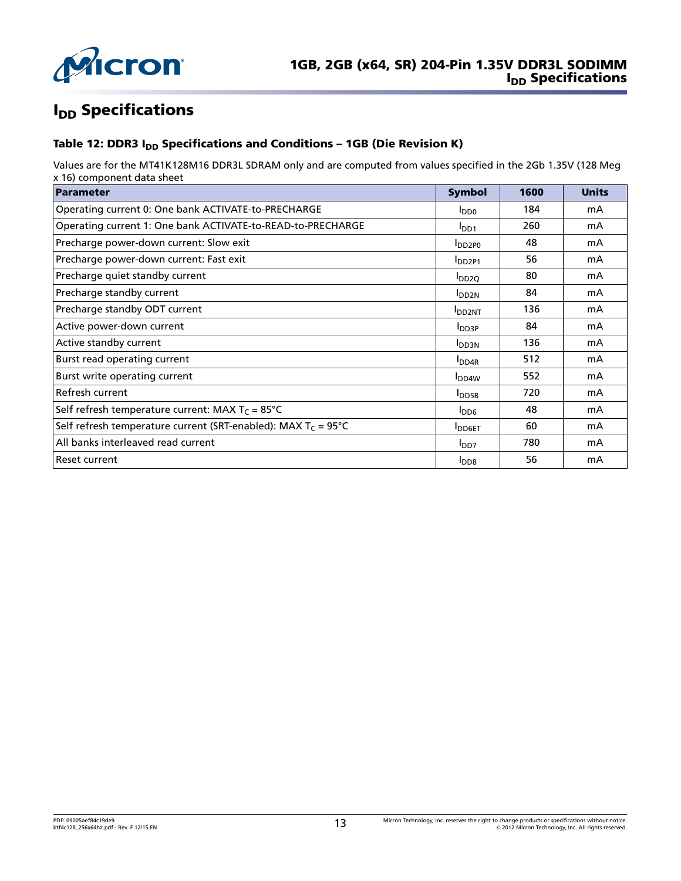

# **I<sub>DD</sub>** Specifications

### Table 12: DDR3 I<sub>DD</sub> Specifications and Conditions - 1GB (Die Revision K)

Values are for the MT41K128M16 DDR3L SDRAM only and are computed from values specified in the 2Gb 1.35V (128 Meg x 16) component data sheet

| Parameter                                                               | <b>Symbol</b>             | 1600 | <b>Units</b> |
|-------------------------------------------------------------------------|---------------------------|------|--------------|
| Operating current 0: One bank ACTIVATE-to-PRECHARGE                     | $I_{DD0}$                 | 184  | mA           |
| Operating current 1: One bank ACTIVATE-to-READ-to-PRECHARGE             | I <sub>DD1</sub>          | 260  | mA           |
| Precharge power-down current: Slow exit                                 | <b>DD2PO</b>              | 48   | mA           |
| Precharge power-down current: Fast exit                                 | DD <sub>2P1</sub>         | 56   | mA           |
| Precharge quiet standby current                                         | $I_{DD2O}$                | 80   | mA           |
| Precharge standby current                                               | <b>I</b> DD <sub>2N</sub> | 84   | mA           |
| Precharge standby ODT current                                           | <b>I</b> DD2NT            | 136  | mA           |
| Active power-down current                                               | $I_{DD3P}$                | 84   | mA           |
| Active standby current                                                  | <b>I</b> DD3N             | 136  | mA           |
| Burst read operating current                                            | <b>I</b> DD4R             | 512  | mA           |
| Burst write operating current                                           | <b>I</b> DD <sub>4W</sub> | 552  | mA           |
| Refresh current                                                         | <b>I</b> DD5B             | 720  | mA           |
| Self refresh temperature current: MAX $T_c = 85^{\circ}C$               | $I_{DD6}$                 | 48   | mA           |
| Self refresh temperature current (SRT-enabled): MAX $T_c = 95^{\circ}C$ | <b>I</b> DD6ET            | 60   | mA           |
| All banks interleaved read current                                      | I <sub>DD7</sub>          | 780  | mA           |
| Reset current                                                           | I <sub>DD8</sub>          | 56   | mA           |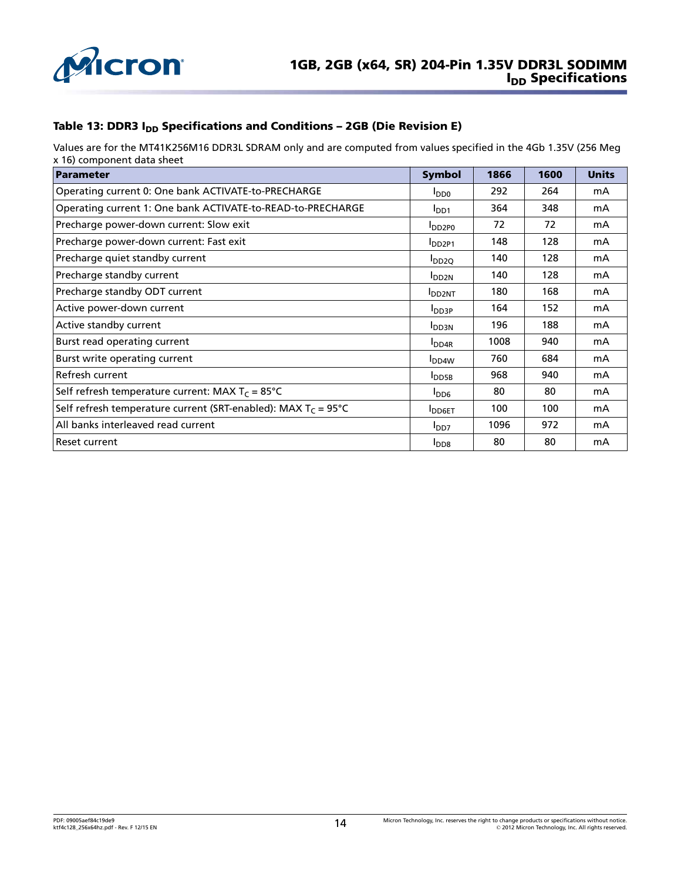

### Table 13: DDR3  $I_{DD}$  Specifications and Conditions – 2GB (Die Revision E)

Values are for the MT41K256M16 DDR3L SDRAM only and are computed from values specified in the 4Gb 1.35V (256 Meg x 16) component data sheet

| <b>Parameter</b>                                                        | <b>Symbol</b>             | 1866 | 1600 | <b>Units</b> |
|-------------------------------------------------------------------------|---------------------------|------|------|--------------|
| Operating current 0: One bank ACTIVATE-to-PRECHARGE                     | $I_{DD0}$                 | 292  | 264  | mA           |
| Operating current 1: One bank ACTIVATE-to-READ-to-PRECHARGE             | I <sub>DD1</sub>          | 364  | 348  | mA           |
| Precharge power-down current: Slow exit                                 | $I_{DD2PO}$               | 72   | 72   | mA           |
| Precharge power-down current: Fast exit                                 | <b>IDD2P1</b>             | 148  | 128  | mA           |
| Precharge quiet standby current                                         | $I_{DD2O}$                | 140  | 128  | mA           |
| Precharge standby current                                               | <b>I</b> DD <sub>2N</sub> | 140  | 128  | mA           |
| Precharge standby ODT current                                           | <b>I</b> DD2NT            | 180  | 168  | mA           |
| Active power-down current                                               | I <sub>DD3P</sub>         | 164  | 152  | mA           |
| Active standby current                                                  | <b>I</b> DD3N             | 196  | 188  | mA           |
| Burst read operating current                                            | I <sub>DD4R</sub>         | 1008 | 940  | mA           |
| Burst write operating current                                           | $I_{DD4W}$                | 760  | 684  | mA           |
| Refresh current                                                         | <b>I</b> DD5B             | 968  | 940  | mA           |
| Self refresh temperature current: MAX $T_c = 85^{\circ}C$               | $I_{DD6}$                 | 80   | 80   | mA           |
| Self refresh temperature current (SRT-enabled): MAX $T_c = 95^{\circ}C$ | <b>I</b> DD6ET            | 100  | 100  | mA           |
| All banks interleaved read current                                      | I <sub>DD7</sub>          | 1096 | 972  | mA           |
| Reset current                                                           | $I_{DD8}$                 | 80   | 80   | mA           |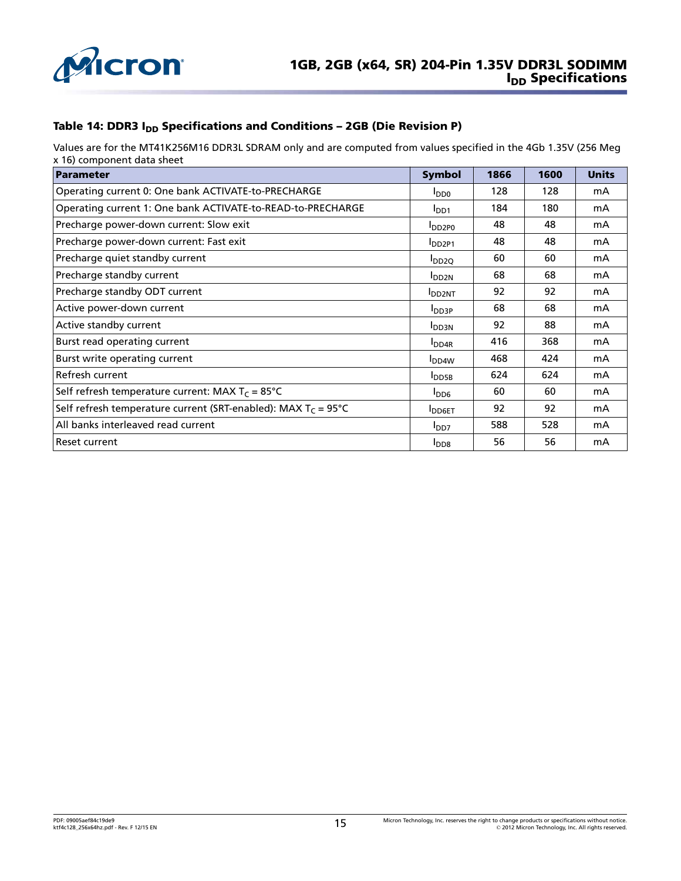

### Table 14: DDR3  $I_{DD}$  Specifications and Conditions – 2GB (Die Revision P)

Values are for the MT41K256M16 DDR3L SDRAM only and are computed from values specified in the 4Gb 1.35V (256 Meg x 16) component data sheet

| <b>Parameter</b>                                                        | <b>Symbol</b>     | 1866 | 1600 | <b>Units</b> |
|-------------------------------------------------------------------------|-------------------|------|------|--------------|
| Operating current 0: One bank ACTIVATE-to-PRECHARGE                     | oaal              | 128  | 128  | mA           |
| Operating current 1: One bank ACTIVATE-to-READ-to-PRECHARGE             | I <sub>DD1</sub>  | 184  | 180  | mA           |
| Precharge power-down current: Slow exit                                 | $I_{DD2PO}$       | 48   | 48   | mA           |
| Precharge power-down current: Fast exit                                 | <b>IDD2P1</b>     | 48   | 48   | mA           |
| Precharge quiet standby current                                         | $I_{DD2Q}$        | 60   | 60   | mA           |
| Precharge standby current                                               | I <sub>DD2N</sub> | 68   | 68   | mA           |
| Precharge standby ODT current                                           | <b>I</b> DD2NT    | 92   | 92   | mA           |
| Active power-down current                                               | $I_{DD3P}$        | 68   | 68   | mA           |
| Active standby current                                                  | <b>IDD3N</b>      | 92   | 88   | mA           |
| Burst read operating current                                            | I <sub>DD4R</sub> | 416  | 368  | mA           |
| Burst write operating current                                           | I <sub>DD4W</sub> | 468  | 424  | mA           |
| Refresh current                                                         | <b>I</b> DD5B     | 624  | 624  | mA           |
| Self refresh temperature current: MAX $T_c = 85^{\circ}C$               | $I_{DD6}$         | 60   | 60   | mA           |
| Self refresh temperature current (SRT-enabled): MAX $T_c = 95^{\circ}C$ | <b>IDD6ET</b>     | 92   | 92   | mA           |
| All banks interleaved read current                                      | I <sub>DD7</sub>  | 588  | 528  | mA           |
| Reset current                                                           | I <sub>DD8</sub>  | 56   | 56   | mA           |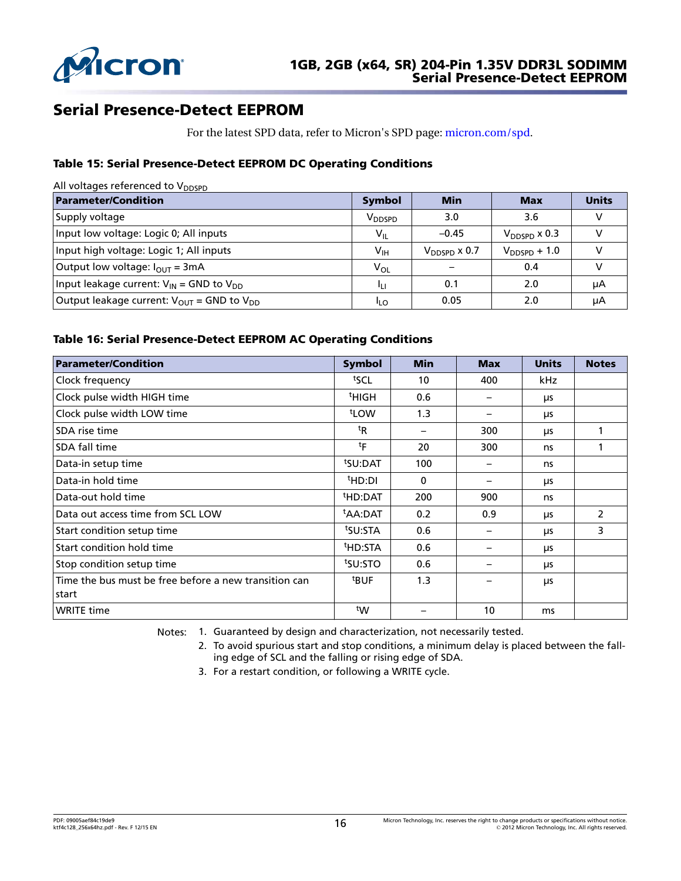

# Serial Presence-Detect EEPROM

For the latest SPD data, refer to Micron's SPD page: [micron.com/spd.](http://www.micron.com/spd)

### Table 15: Serial Presence-Detect EEPROM DC Operating Conditions

| All voltages referenced to $V_{DDSPD}$                            |                    |                          |                   |              |  |
|-------------------------------------------------------------------|--------------------|--------------------------|-------------------|--------------|--|
| <b>Parameter/Condition</b>                                        | <b>Symbol</b>      | <b>Min</b>               | <b>Max</b>        | <b>Units</b> |  |
| Supply voltage                                                    | V <sub>DDSPD</sub> | 3.0                      | 3.6               |              |  |
| Input low voltage: Logic 0; All inputs                            | $V_{IL}$           | $-0.45$                  | $V_{DDSPD}$ x 0.3 |              |  |
| Input high voltage: Logic 1; All inputs                           | $V_{\sf IH}$       | $V_{\text{DDSPD}}$ x 0.7 | $V_{DDSPD} + 1.0$ |              |  |
| Output low voltage: $I_{\text{OUT}} = 3 \text{mA}$                | $V_{OL}$           |                          | 0.4               |              |  |
| Input leakage current: $V_{IN}$ = GND to $V_{DD}$                 | Чμ                 | 0.1                      | 2.0               | μA           |  |
| Output leakage current: $V_{\text{OUT}}$ = GND to $V_{\text{DD}}$ | <sup>I</sup> LO    | 0.05                     | 2.0               | μA           |  |

### Table 16: Serial Presence-Detect EEPROM AC Operating Conditions

| <b>Parameter/Condition</b>                            | <b>Symbol</b>       | <b>Min</b>  | <b>Max</b> | <b>Units</b> | <b>Notes</b>   |
|-------------------------------------------------------|---------------------|-------------|------------|--------------|----------------|
| Clock frequency                                       | tscl                | 10          | 400        | kHz          |                |
| Clock pulse width HIGH time                           | <sup>t</sup> HIGH   | 0.6         |            | μs           |                |
| Clock pulse width LOW time                            | t <sub>LOW</sub>    | 1.3         |            | μs           |                |
| SDA rise time                                         | ${}^{\rm t}$ R      |             | 300        | μs           |                |
| SDA fall time                                         | tF                  | 20          | 300        | ns           |                |
| Data-in setup time                                    | <sup>t</sup> SU:DAT | 100         |            | ns           |                |
| Data-in hold time                                     | <sup>t</sup> HD:DI  | $\mathbf 0$ |            | μs           |                |
| Data-out hold time                                    | <sup>t</sup> HD:DAT | 200         | 900        | ns           |                |
| Data out access time from SCL LOW                     | <sup>t</sup> AA:DAT | 0.2         | 0.9        | μs           | $\overline{2}$ |
| Start condition setup time                            | tsu:STA             | 0.6         |            | <b>LIS</b>   | 3              |
| Start condition hold time                             | <sup>t</sup> HD:STA | 0.6         |            | μs           |                |
| Stop condition setup time                             | tsu:STO             | 0.6         |            | μs           |                |
| Time the bus must be free before a new transition can | <sup>t</sup> BUF    | 1.3         |            | μs           |                |
| start                                                 |                     |             |            |              |                |
| <b>WRITE time</b>                                     | tw                  |             | 10         | ms           |                |

Notes: 1. Guaranteed by design and characterization, not necessarily tested.

2. To avoid spurious start and stop conditions, a minimum delay is placed between the falling edge of SCL and the falling or rising edge of SDA.

3. For a restart condition, or following a WRITE cycle.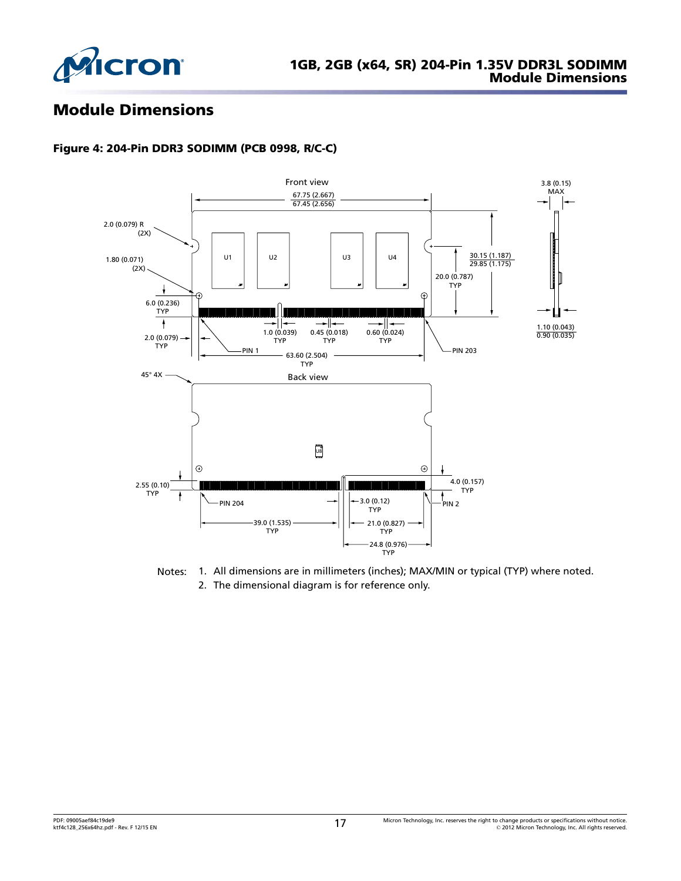

# Module Dimensions

### Figure 4: 204-Pin DDR3 SODIMM (PCB 0998, R/C-C)



Notes: 1. All dimensions are in millimeters (inches); MAX/MIN or typical (TYP) where noted. 2. The dimensional diagram is for reference only.